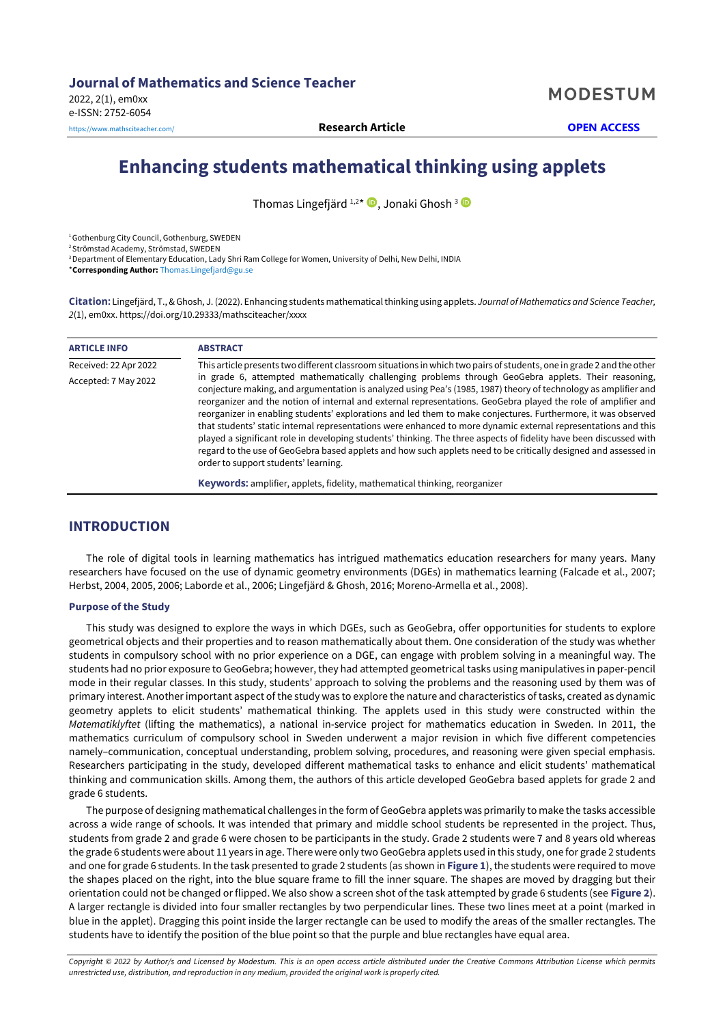**MODESTUM** 

<https://www.mathsciteacher.com/> **Research Article OPEN ACCESS**

# **Enhancing students mathematical thinking using applets**

Thomas Lingefjärd <sup>1,2\*</sup> D, Jonaki Ghosh <sup>3</sup>

<sup>1</sup>Gothenburg City Council, Gothenburg, SWEDEN

<sup>2</sup>Strömstad Academy, Strömstad, SWEDEN

<sup>3</sup> Department of Elementary Education, Lady Shri Ram College for Women, University of Delhi, New Delhi, INDIA

\***Corresponding Author:** [Thomas.Lingefjard@gu.se](mailto:Thomas.Lingefjard@gu.se)

**Citation:** Lingefjärd, T., &Ghosh, J. (2022). Enhancing students mathematicalthinking using applets. *Journal of Mathematics and Science Teacher, 2*(1), em0xx. https://doi.org/10.29333/mathsciteacher/xxxx

| <b>ARTICLE INFO</b>   | <b>ABSTRACT</b>                                                                                                                                                                                                                                                                                                                                                                                                                                                                                                                                                                                                                                                                                                                                                                                                                                               |
|-----------------------|---------------------------------------------------------------------------------------------------------------------------------------------------------------------------------------------------------------------------------------------------------------------------------------------------------------------------------------------------------------------------------------------------------------------------------------------------------------------------------------------------------------------------------------------------------------------------------------------------------------------------------------------------------------------------------------------------------------------------------------------------------------------------------------------------------------------------------------------------------------|
| Received: 22 Apr 2022 | This article presents two different classroom situations in which two pairs of students, one in grade 2 and the other                                                                                                                                                                                                                                                                                                                                                                                                                                                                                                                                                                                                                                                                                                                                         |
| Accepted: 7 May 2022  | in grade 6, attempted mathematically challenging problems through GeoGebra applets. Their reasoning,<br>conjecture making, and argumentation is analyzed using Pea's (1985, 1987) theory of technology as amplifier and<br>reorganizer and the notion of internal and external representations. GeoGebra played the role of amplifier and<br>reorganizer in enabling students' explorations and led them to make conjectures. Furthermore, it was observed<br>that students' static internal representations were enhanced to more dynamic external representations and this<br>played a significant role in developing students' thinking. The three aspects of fidelity have been discussed with<br>regard to the use of GeoGebra based applets and how such applets need to be critically designed and assessed in<br>order to support students' learning. |
|                       | <b>Keywords:</b> amplifier, applets, fidelity, mathematical thinking, reorganizer                                                                                                                                                                                                                                                                                                                                                                                                                                                                                                                                                                                                                                                                                                                                                                             |

## **INTRODUCTION**

The role of digital tools in learning mathematics has intrigued mathematics education researchers for many years. Many researchers have focused on the use of dynamic geometry environments (DGEs) in mathematics learning (Falcade et al., 2007; Herbst, 2004, 2005, 2006; Laborde et al., 2006; Lingefjärd & Ghosh, 2016; Moreno-Armella et al., 2008).

#### **Purpose of the Study**

This study was designed to explore the ways in which DGEs, such as GeoGebra, offer opportunities for students to explore geometrical objects and their properties and to reason mathematically about them. One consideration of the study was whether students in compulsory school with no prior experience on a DGE, can engage with problem solving in a meaningful way. The students had no prior exposure to GeoGebra; however, they had attempted geometrical tasks using manipulatives in paper-pencil mode in their regular classes. In this study, students' approach to solving the problems and the reasoning used by them was of primary interest. Another important aspect of the study was to explore the nature and characteristics of tasks, created as dynamic geometry applets to elicit students' mathematical thinking. The applets used in this study were constructed within the *Matematiklyftet* (lifting the mathematics), a national in-service project for mathematics education in Sweden. In 2011, the mathematics curriculum of compulsory school in Sweden underwent a major revision in which five different competencies namely–communication, conceptual understanding, problem solving, procedures, and reasoning were given special emphasis. Researchers participating in the study, developed different mathematical tasks to enhance and elicit students' mathematical thinking and communication skills. Among them, the authors of this article developed GeoGebra based applets for grade 2 and grade 6 students.

The purpose of designing mathematical challenges in the form of GeoGebra applets was primarily to make the tasks accessible across a wide range of schools. It was intended that primary and middle school students be represented in the project. Thus, students from grade 2 and grade 6 were chosen to be participants in the study. Grade 2 students were 7 and 8 years old whereas the grade 6 students were about 11 years in age. There were only two GeoGebra applets used in this study, one for grade 2 students and one for grade 6 students. In the task presented to grade 2 students (as shown in **Figure 1**), the students were required to move the shapes placed on the right, into the blue square frame to fill the inner square. The shapes are moved by dragging but their orientation could not be changed or flipped. We also show a screen shot of the task attempted by grade 6 students (see **Figure 2**). A larger rectangle is divided into four smaller rectangles by two perpendicular lines. These two lines meet at a point (marked in blue in the applet). Dragging this point inside the larger rectangle can be used to modify the areas of the smaller rectangles. The students have to identify the position of the blue point so that the purple and blue rectangles have equal area.

Copyright © 2022 by Author/s and Licensed by Modestum. This is an open access article distributed under the Creative Commons Attribution License which permits *unrestricted use, distribution, and reproduction in any medium, provided the original work is properly cited.*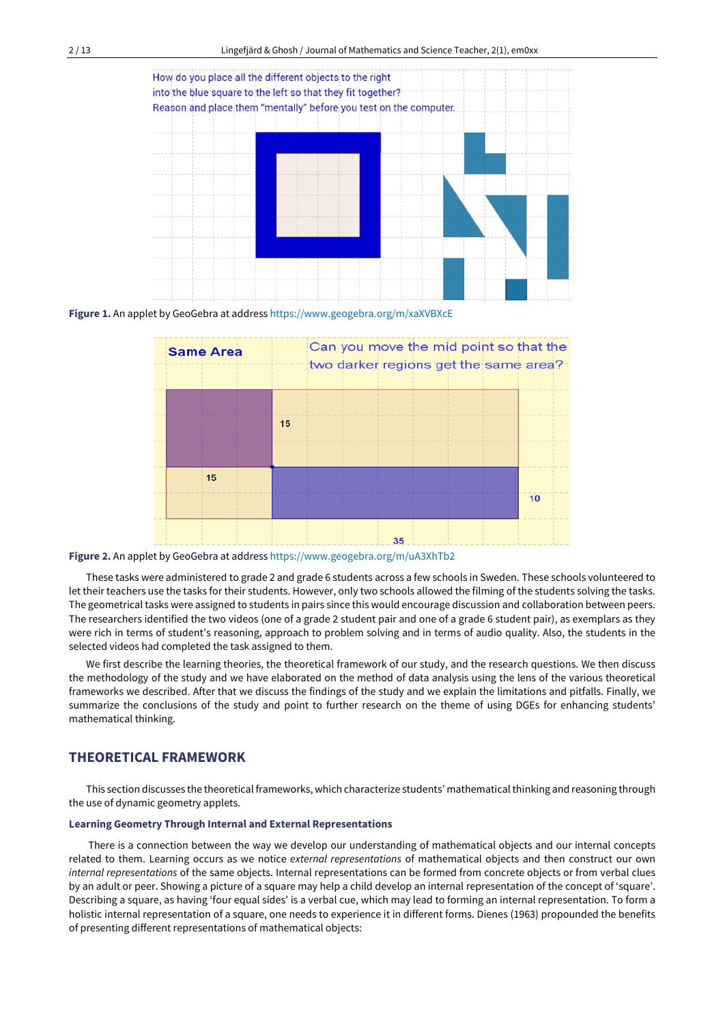

**Figure 1.** An applet by GeoGebra at address <https://www.geogebra.org/m/xaXVBXcE>



**Figure 2.** An applet by GeoGebra at address <https://www.geogebra.org/m/uA3XhTb2>

These tasks were administered to grade 2 and grade 6 students across a few schools in Sweden. These schools volunteered to let their teachers use the tasks for their students. However, only two schools allowed the filming of the students solving the tasks. The geometrical tasks were assigned to students in pairs since this would encourage discussion and collaboration between peers. The researchers identified the two videos (one of a grade 2 student pair and one of a grade 6 student pair), as exemplars as they were rich in terms of student's reasoning, approach to problem solving and in terms of audio quality. Also, the students in the selected videos had completed the task assigned to them.

We first describe the learning theories, the theoretical framework of our study, and the research questions. We then discuss the methodology of the study and we have elaborated on the method of data analysis using the lens of the various theoretical frameworks we described. After that we discuss the findings of the study and we explain the limitations and pitfalls. Finally, we summarize the conclusions of the study and point to further research on the theme of using DGEs for enhancing students' mathematical thinking.

# **THEORETICAL FRAMEWORK**

This section discusses the theoretical frameworks, which characterize students' mathematicalthinking and reasoning through the use of dynamic geometry applets.

## **Learning Geometry Through Internal and External Representations**

There is a connection between the way we develop our understanding of mathematical objects and our internal concepts related to them. Learning occurs as we notice *external representations* of mathematical objects and then construct our own *internal representations* of the same objects. Internal representations can be formed from concrete objects or from verbal clues by an adult or peer. Showing a picture of a square may help a child develop an internal representation of the concept of 'square'. Describing a square, as having 'four equal sides' is a verbal cue, which may lead to forming an internal representation. To form a holistic internal representation of a square, one needs to experience it in different forms. Dienes (1963) propounded the benefits of presenting different representations of mathematical objects: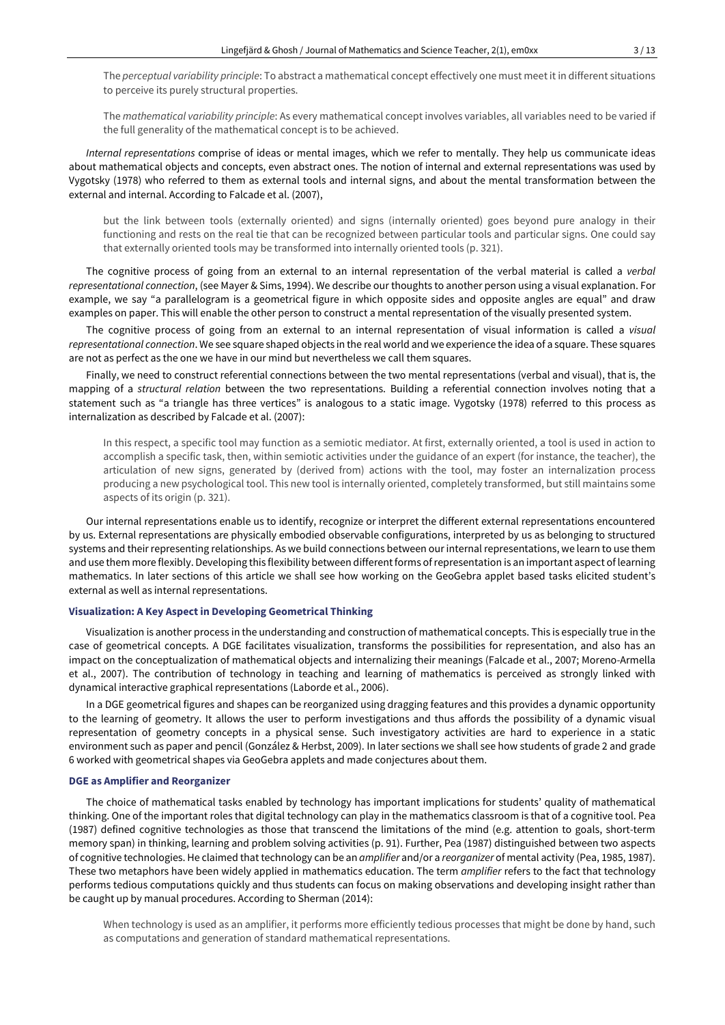The *perceptual variability principle*: To abstract a mathematical concept effectively one must meet it in different situations to perceive its purely structural properties.

The *mathematical variability principle*: As every mathematical concept involves variables, all variables need to be varied if the full generality of the mathematical concept is to be achieved.

*Internal representations* comprise of ideas or mental images, which we refer to mentally. They help us communicate ideas about mathematical objects and concepts, even abstract ones. The notion of internal and external representations was used by Vygotsky (1978) who referred to them as external tools and internal signs, and about the mental transformation between the external and internal. According to Falcade et al. (2007),

but the link between tools (externally oriented) and signs (internally oriented) goes beyond pure analogy in their functioning and rests on the real tie that can be recognized between particular tools and particular signs. One could say that externally oriented tools may be transformed into internally oriented tools (p. 321).

The cognitive process of going from an external to an internal representation of the verbal material is called a *verbal representational connection*, (see Mayer & Sims, 1994). We describe our thoughts to another person using a visual explanation. For example, we say "a parallelogram is a geometrical figure in which opposite sides and opposite angles are equal" and draw examples on paper. This will enable the other person to construct a mental representation of the visually presented system.

The cognitive process of going from an external to an internal representation of visual information is called a *visual representational connection*. We see square shaped objects in the real world and we experience the idea of a square. These squares are not as perfect as the one we have in our mind but nevertheless we call them squares.

Finally, we need to construct referential connections between the two mental representations (verbal and visual), that is, the mapping of a *structural relation* between the two representations. Building a referential connection involves noting that a statement such as "a triangle has three vertices" is analogous to a static image. Vygotsky (1978) referred to this process as internalization as described by Falcade et al. (2007):

In this respect, a specific tool may function as a semiotic mediator. At first, externally oriented, a tool is used in action to accomplish a specific task, then, within semiotic activities under the guidance of an expert (for instance, the teacher), the articulation of new signs, generated by (derived from) actions with the tool, may foster an internalization process producing a new psychological tool. This new tool is internally oriented, completely transformed, but still maintains some aspects of its origin (p. 321).

Our internal representations enable us to identify, recognize or interpret the different external representations encountered by us. External representations are physically embodied observable configurations, interpreted by us as belonging to structured systems and theirrepresenting relationships. As we build connections between our internal representations, we learn to use them and use them more flexibly. Developing this flexibility between different forms of representation is an important aspect of learning mathematics. In later sections of this article we shall see how working on the GeoGebra applet based tasks elicited student's external as well as internal representations.

#### **Visualization: A Key Aspect in Developing Geometrical Thinking**

Visualization is another process in the understanding and construction of mathematical concepts. This is especially true in the case of geometrical concepts. A DGE facilitates visualization, transforms the possibilities for representation, and also has an impact on the conceptualization of mathematical objects and internalizing their meanings (Falcade et al., 2007; Moreno-Armella et al., 2007). The contribution of technology in teaching and learning of mathematics is perceived as strongly linked with dynamical interactive graphical representations (Laborde et al., 2006).

In a DGE geometrical figures and shapes can be reorganized using dragging features and this provides a dynamic opportunity to the learning of geometry. It allows the user to perform investigations and thus affords the possibility of a dynamic visual representation of geometry concepts in a physical sense. Such investigatory activities are hard to experience in a static environment such as paper and pencil (González & Herbst, 2009). In later sections we shall see how students of grade 2 and grade 6 worked with geometrical shapes via GeoGebra applets and made conjectures about them.

## **DGE as Amplifier and Reorganizer**

The choice of mathematical tasks enabled by technology has important implications for students' quality of mathematical thinking. One of the important roles that digital technology can play in the mathematics classroom is that of a cognitive tool. Pea (1987) defined cognitive technologies as those that transcend the limitations of the mind (e.g. attention to goals, short-term memory span) in thinking, learning and problem solving activities (p. 91). Further, Pea (1987) distinguished between two aspects of cognitive technologies. He claimed that technology can be an *amplifier* and/or a *reorganizer* of mental activity (Pea, 1985, 1987). These two metaphors have been widely applied in mathematics education. The term *amplifier* refers to the fact that technology performs tedious computations quickly and thus students can focus on making observations and developing insight rather than be caught up by manual procedures. According to Sherman (2014):

When technology is used as an amplifier, it performs more efficiently tedious processes that might be done by hand, such as computations and generation of standard mathematical representations.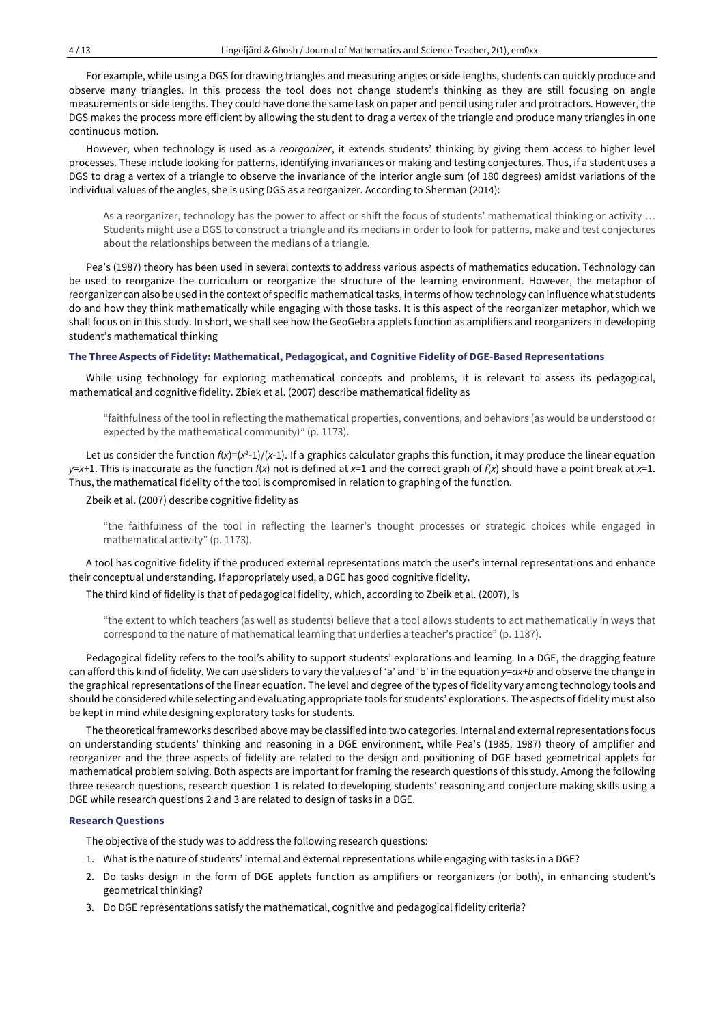For example, while using a DGS for drawing triangles and measuring angles or side lengths, students can quickly produce and observe many triangles. In this process the tool does not change student's thinking as they are still focusing on angle measurements or side lengths. They could have done the same task on paper and pencil using ruler and protractors. However, the DGS makes the process more efficient by allowing the student to drag a vertex of the triangle and produce many triangles in one continuous motion.

However, when technology is used as a *reorganizer*, it extends students' thinking by giving them access to higher level processes. These include looking for patterns, identifying invariances or making and testing conjectures. Thus, if a student uses a DGS to drag a vertex of a triangle to observe the invariance of the interior angle sum (of 180 degrees) amidst variations of the individual values of the angles, she is using DGS as a reorganizer. According to Sherman (2014):

As a reorganizer, technology has the power to affect or shift the focus of students' mathematical thinking or activity … Students might use a DGS to construct a triangle and its medians in order to look for patterns, make and test conjectures about the relationships between the medians of a triangle.

Pea's (1987) theory has been used in several contexts to address various aspects of mathematics education. Technology can be used to reorganize the curriculum or reorganize the structure of the learning environment. However, the metaphor of reorganizer can also be used in the context of specific mathematicaltasks, in terms of how technology can influence what students do and how they think mathematically while engaging with those tasks. It is this aspect of the reorganizer metaphor, which we shall focus on in this study. In short, we shall see how the GeoGebra applets function as amplifiers and reorganizers in developing student's mathematical thinking

#### **The Three Aspects of Fidelity: Mathematical, Pedagogical, and Cognitive Fidelity of DGE-Based Representations**

While using technology for exploring mathematical concepts and problems, it is relevant to assess its pedagogical, mathematical and cognitive fidelity. Zbiek et al. (2007) describe mathematical fidelity as

"faithfulness of the tool in reflecting the mathematical properties, conventions, and behaviors (as would be understood or expected by the mathematical community)" (p. 1173).

Let us consider the function  $f(x)=(x^2-1)/(x-1)$ . If a graphics calculator graphs this function, it may produce the linear equation *y*=*x*+1. This is inaccurate as the function *f*(*x*) not is defined at *x*=1 and the correct graph of *f*(*x*) should have a point break at *x*=1. Thus, the mathematical fidelity of the tool is compromised in relation to graphing of the function.

Zbeik et al. (2007) describe cognitive fidelity as

"the faithfulness of the tool in reflecting the learner's thought processes or strategic choices while engaged in mathematical activity" (p. 1173).

A tool has cognitive fidelity if the produced external representations match the user's internal representations and enhance their conceptual understanding. If appropriately used, a DGE has good cognitive fidelity.

## The third kind of fidelity is that of pedagogical fidelity, which, according to Zbeik et al. (2007), is

"the extent to which teachers (as well as students) believe that a tool allows students to act mathematically in ways that correspond to the nature of mathematical learning that underlies a teacher's practice" (p. 1187).

Pedagogical fidelity refers to the tool's ability to support students' explorations and learning. In a DGE, the dragging feature can afford this kind of fidelity. We can use sliders to vary the values of 'a' and 'b' in the equation *y*=*ax*+*b* and observe the change in the graphical representations of the linear equation. The level and degree of the types of fidelity vary among technology tools and should be considered while selecting and evaluating appropriate tools for students' explorations. The aspects of fidelity must also be kept in mind while designing exploratory tasks for students.

The theoretical frameworks described above may be classified into two categories. Internal and external representations focus on understanding students' thinking and reasoning in a DGE environment, while Pea's (1985, 1987) theory of amplifier and reorganizer and the three aspects of fidelity are related to the design and positioning of DGE based geometrical applets for mathematical problem solving. Both aspects are important for framing the research questions of this study. Among the following three research questions, research question 1 is related to developing students' reasoning and conjecture making skills using a DGE while research questions 2 and 3 are related to design of tasks in a DGE.

#### **Research Questions**

The objective of the study was to address the following research questions:

- 1. What is the nature of students' internal and external representations while engaging with tasks in a DGE?
- 2. Do tasks design in the form of DGE applets function as amplifiers or reorganizers (or both), in enhancing student's geometrical thinking?
- 3. Do DGE representations satisfy the mathematical, cognitive and pedagogical fidelity criteria?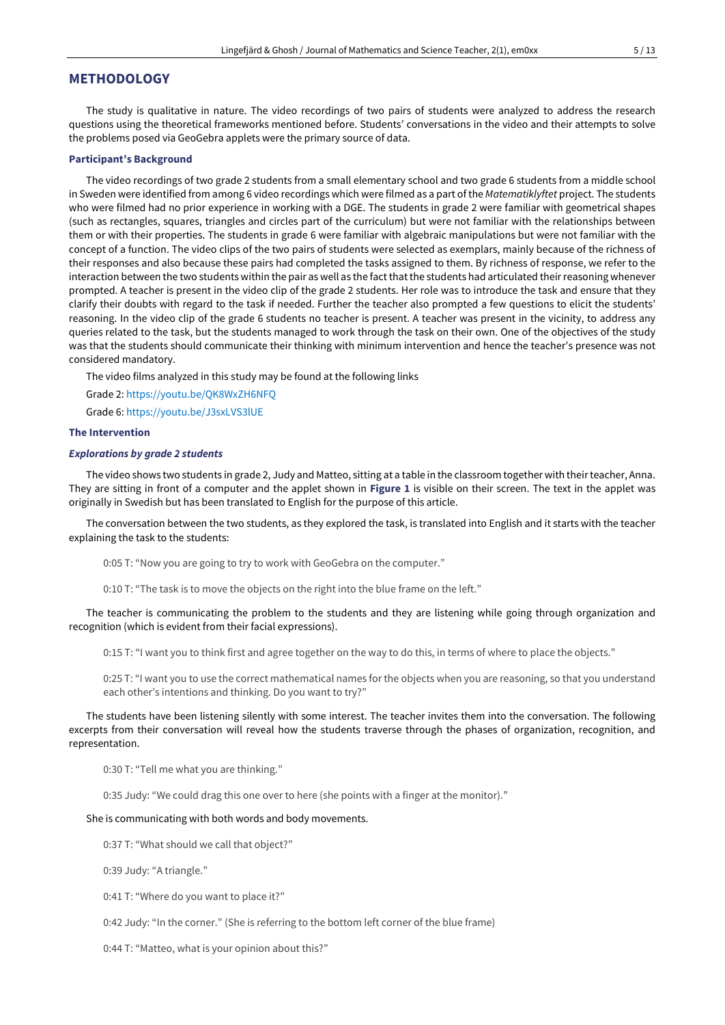## **METHODOLOGY**

The study is qualitative in nature. The video recordings of two pairs of students were analyzed to address the research questions using the theoretical frameworks mentioned before. Students' conversations in the video and their attempts to solve the problems posed via GeoGebra applets were the primary source of data.

#### **Participant's Background**

The video recordings of two grade 2 students from a small elementary school and two grade 6 students from a middle school in Sweden were identified from among 6 video recordings which were filmed as a part of the *Matematiklyftet* project. The students who were filmed had no prior experience in working with a DGE. The students in grade 2 were familiar with geometrical shapes (such as rectangles, squares, triangles and circles part of the curriculum) but were not familiar with the relationships between them or with their properties. The students in grade 6 were familiar with algebraic manipulations but were not familiar with the concept of a function. The video clips of the two pairs of students were selected as exemplars, mainly because of the richness of their responses and also because these pairs had completed the tasks assigned to them. By richness of response, we refer to the interaction between the two students within the pair as well as the fact that the students had articulated their reasoning whenever prompted. A teacher is present in the video clip of the grade 2 students. Her role was to introduce the task and ensure that they clarify their doubts with regard to the task if needed. Further the teacher also prompted a few questions to elicit the students' reasoning. In the video clip of the grade 6 students no teacher is present. A teacher was present in the vicinity, to address any queries related to the task, but the students managed to work through the task on their own. One of the objectives of the study was that the students should communicate their thinking with minimum intervention and hence the teacher's presence was not considered mandatory.

The video films analyzed in this study may be found at the following links

Grade 2: <https://youtu.be/QK8WxZH6NFQ>

Grade 6: <https://youtu.be/J3sxLVS3lUE>

#### **The Intervention**

#### *Explorations by grade 2 students*

The video shows two students in grade 2, Judy and Matteo, sitting at a table in the classroom together with theirteacher, Anna. They are sitting in front of a computer and the applet shown in **Figure 1** is visible on their screen. The text in the applet was originally in Swedish but has been translated to English for the purpose of this article.

The conversation between the two students, as they explored the task, is translated into English and it starts with the teacher explaining the task to the students:

0:05 T: "Now you are going to try to work with GeoGebra on the computer."

0:10 T: "The task is to move the objects on the right into the blue frame on the left."

The teacher is communicating the problem to the students and they are listening while going through organization and recognition (which is evident from their facial expressions).

0:15 T: "I want you to think first and agree together on the way to do this, in terms of where to place the objects."

0:25 T: "I want you to use the correct mathematical names for the objects when you are reasoning, so that you understand each other's intentions and thinking. Do you want to try?"

The students have been listening silently with some interest. The teacher invites them into the conversation. The following excerpts from their conversation will reveal how the students traverse through the phases of organization, recognition, and representation.

0:30 T: "Tell me what you are thinking."

0:35 Judy: "We could drag this one over to here (she points with a finger at the monitor)."

## She is communicating with both words and body movements.

0:37 T: "What should we call that object?"

0:39 Judy: "A triangle."

0:41 T: "Where do you want to place it?"

0:42 Judy: "In the corner." (She is referring to the bottom left corner of the blue frame)

0:44 T: "Matteo, what is your opinion about this?"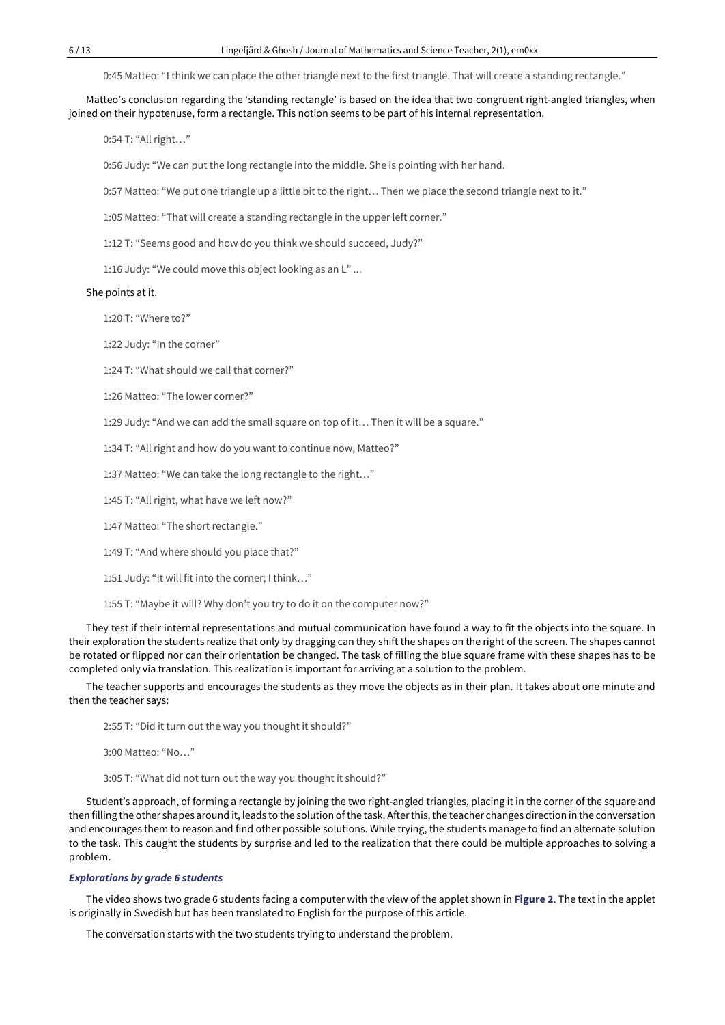0:45 Matteo: "I think we can place the other triangle next to the first triangle. That will create a standing rectangle."

## Matteo's conclusion regarding the 'standing rectangle' is based on the idea that two congruent right-angled triangles, when joined on their hypotenuse, form a rectangle. This notion seems to be part of his internal representation.

0:54 T: "All right…"

0:56 Judy: "We can put the long rectangle into the middle. She is pointing with her hand.

0:57 Matteo: "We put one triangle up a little bit to the right… Then we place the second triangle next to it."

1:05 Matteo: "That will create a standing rectangle in the upper left corner."

1:12 T: "Seems good and how do you think we should succeed, Judy?"

1:16 Judy: "We could move this object looking as an L" ...

#### She points at it.

1:20 T: "Where to?"

1:22 Judy: "In the corner"

1:24 T: "What should we call that corner?"

1:26 Matteo: "The lower corner?"

1:29 Judy: "And we can add the small square on top of it… Then it will be a square."

1:34 T: "All right and how do you want to continue now, Matteo?"

1:37 Matteo: "We can take the long rectangle to the right…"

1:45 T: "All right, what have we left now?"

1:47 Matteo: "The short rectangle."

1:49 T: "And where should you place that?"

1:51 Judy: "It will fit into the corner; I think…"

1:55 T: "Maybe it will? Why don't you try to do it on the computer now?"

They test if their internal representations and mutual communication have found a way to fit the objects into the square. In their exploration the students realize that only by dragging can they shift the shapes on the right of the screen. The shapes cannot be rotated or flipped nor can their orientation be changed. The task of filling the blue square frame with these shapes has to be completed only via translation. This realization is important for arriving at a solution to the problem.

The teacher supports and encourages the students as they move the objects as in their plan. It takes about one minute and then the teacher says:

2:55 T: "Did it turn out the way you thought it should?"

3:00 Matteo: "No…"

3:05 T: "What did not turn out the way you thought it should?"

Student's approach, of forming a rectangle by joining the two right-angled triangles, placing it in the corner of the square and then filling the other shapes around it, leads to the solution of the task. After this, the teacher changes direction in the conversation and encourages them to reason and find other possible solutions. While trying, the students manage to find an alternate solution to the task. This caught the students by surprise and led to the realization that there could be multiple approaches to solving a problem.

#### *Explorations by grade 6 students*

The video shows two grade 6 students facing a computer with the view of the applet shown in **Figure 2**. The text in the applet is originally in Swedish but has been translated to English for the purpose of this article.

The conversation starts with the two students trying to understand the problem.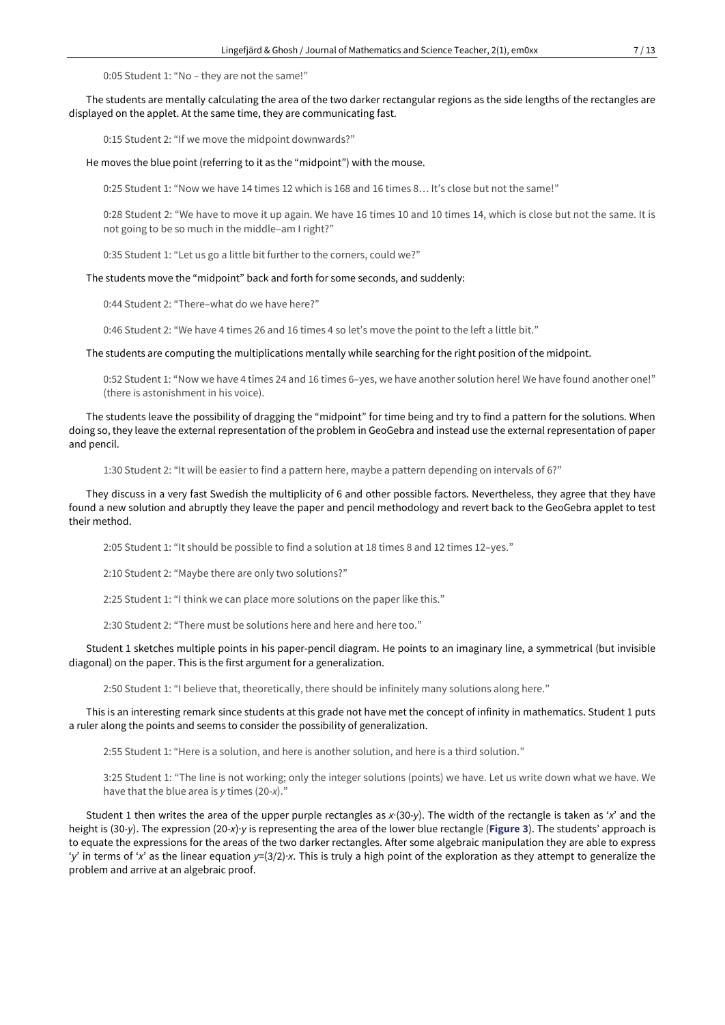0:05 Student 1: "No – they are not the same!"

The students are mentally calculating the area of the two darker rectangular regions as the side lengths of the rectangles are displayed on the applet. At the same time, they are communicating fast.

0:15 Student 2: "If we move the midpoint downwards?"

He moves the blue point (referring to it as the "midpoint") with the mouse.

0:25 Student 1: "Now we have 14 times 12 which is 168 and 16 times 8… It's close but not the same!"

0:28 Student 2: "We have to move it up again. We have 16 times 10 and 10 times 14, which is close but not the same. It is not going to be so much in the middle–am I right?"

0:35 Student 1: "Let us go a little bit further to the corners, could we?"

#### The students move the "midpoint" back and forth for some seconds, and suddenly:

0:44 Student 2: "There–what do we have here?"

0:46 Student 2: "We have 4 times 26 and 16 times 4 so let's move the point to the left a little bit."

The students are computing the multiplications mentally while searching for the right position of the midpoint.

0:52 Student 1: "Now we have 4 times 24 and 16 times 6–yes, we have another solution here! We have found another one!" (there is astonishment in his voice).

The students leave the possibility of dragging the "midpoint" for time being and try to find a pattern for the solutions. When doing so, they leave the external representation of the problem in GeoGebra and instead use the external representation of paper and pencil.

1:30 Student 2: "It will be easier to find a pattern here, maybe a pattern depending on intervals of 6?"

They discuss in a very fast Swedish the multiplicity of 6 and other possible factors. Nevertheless, they agree that they have found a new solution and abruptly they leave the paper and pencil methodology and revert back to the GeoGebra applet to test their method.

2:05 Student 1: "It should be possible to find a solution at 18 times 8 and 12 times 12–yes."

2:10 Student 2: "Maybe there are only two solutions?"

2:25 Student 1: "I think we can place more solutions on the paper like this."

2:30 Student 2: "There must be solutions here and here and here too."

## Student 1 sketches multiple points in his paper-pencil diagram. He points to an imaginary line, a symmetrical (but invisible diagonal) on the paper. This is the first argument for a generalization.

2:50 Student 1: "I believe that, theoretically, there should be infinitely many solutions along here."

This is an interesting remark since students at this grade not have met the concept of infinity in mathematics. Student 1 puts a ruler along the points and seems to consider the possibility of generalization.

2:55 Student 1: "Here is a solution, and here is another solution, and here is a third solution."

3:25 Student 1: "The line is not working; only the integer solutions (points) we have. Let us write down what we have. We have that the blue area is *y* times (20-*x*)."

Student 1 then writes the area of the upper purple rectangles as *x·*(30-*y*). The width of the rectangle is taken as '*x*' and the height is (30-*y*). The expression (20-*x*)·*y* is representing the area of the lower blue rectangle (**Figure 3**). The students' approach is to equate the expressions for the areas of the two darker rectangles. After some algebraic manipulation they are able to express '*y*' in terms of '*x*' as the linear equation *y*=(3/2)·*x*. This is truly a high point of the exploration as they attempt to generalize the problem and arrive at an algebraic proof.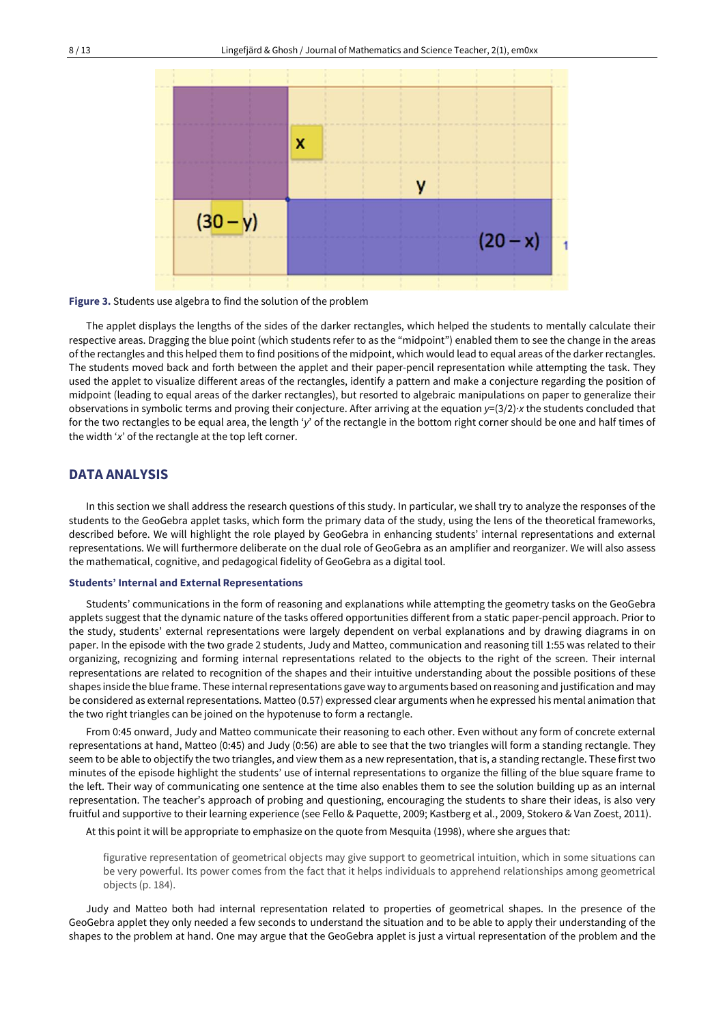

**Figure 3.** Students use algebra to find the solution of the problem

The applet displays the lengths of the sides of the darker rectangles, which helped the students to mentally calculate their respective areas. Dragging the blue point (which students refer to as the "midpoint") enabled them to see the change in the areas of the rectangles and this helped them to find positions of the midpoint, which would lead to equal areas of the darker rectangles. The students moved back and forth between the applet and their paper-pencil representation while attempting the task. They used the applet to visualize different areas of the rectangles, identify a pattern and make a conjecture regarding the position of midpoint (leading to equal areas of the darker rectangles), but resorted to algebraic manipulations on paper to generalize their observations in symbolic terms and proving their conjecture. After arriving at the equation *y*=(3/2)·*x* the students concluded that for the two rectangles to be equal area, the length '*y*' of the rectangle in the bottom right corner should be one and half times of the width '*x*' of the rectangle at the top left corner.

# **DATA ANALYSIS**

In this section we shall address the research questions of this study. In particular, we shall try to analyze the responses of the students to the GeoGebra applet tasks, which form the primary data of the study, using the lens of the theoretical frameworks, described before. We will highlight the role played by GeoGebra in enhancing students' internal representations and external representations. We will furthermore deliberate on the dual role of GeoGebra as an amplifier and reorganizer. We will also assess the mathematical, cognitive, and pedagogical fidelity of GeoGebra as a digital tool.

#### **Students' Internal and External Representations**

Students' communications in the form of reasoning and explanations while attempting the geometry tasks on the GeoGebra applets suggest that the dynamic nature of the tasks offered opportunities different from a static paper-pencil approach. Prior to the study, students' external representations were largely dependent on verbal explanations and by drawing diagrams in on paper. In the episode with the two grade 2 students, Judy and Matteo, communication and reasoning till 1:55 was related to their organizing, recognizing and forming internal representations related to the objects to the right of the screen. Their internal representations are related to recognition of the shapes and their intuitive understanding about the possible positions of these shapes inside the blue frame. These internal representations gave way to arguments based on reasoning and justification and may be considered as external representations. Matteo (0.57) expressed clear arguments when he expressed his mental animation that the two right triangles can be joined on the hypotenuse to form a rectangle.

From 0:45 onward, Judy and Matteo communicate their reasoning to each other. Even without any form of concrete external representations at hand, Matteo (0:45) and Judy (0:56) are able to see that the two triangles will form a standing rectangle. They seem to be able to objectify the two triangles, and view them as a new representation, that is, a standing rectangle. These first two minutes of the episode highlight the students' use of internal representations to organize the filling of the blue square frame to the left. Their way of communicating one sentence at the time also enables them to see the solution building up as an internal representation. The teacher's approach of probing and questioning, encouraging the students to share their ideas, is also very fruitful and supportive to their learning experience (see Fello & Paquette, 2009; Kastberg et al., 2009, Stokero & Van Zoest, 2011).

At this point it will be appropriate to emphasize on the quote from Mesquita (1998), where she argues that:

figurative representation of geometrical objects may give support to geometrical intuition, which in some situations can be very powerful. Its power comes from the fact that it helps individuals to apprehend relationships among geometrical objects (p. 184).

Judy and Matteo both had internal representation related to properties of geometrical shapes. In the presence of the GeoGebra applet they only needed a few seconds to understand the situation and to be able to apply their understanding of the shapes to the problem at hand. One may argue that the GeoGebra applet is just a virtual representation of the problem and the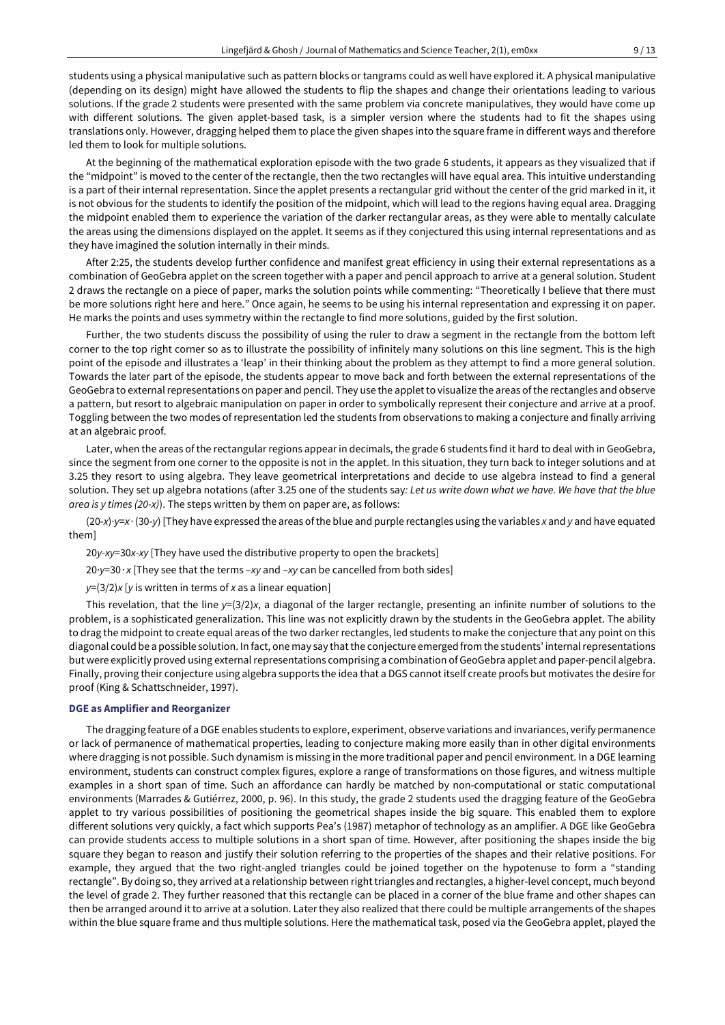students using a physical manipulative such as pattern blocks or tangrams could as well have explored it. A physical manipulative (depending on its design) might have allowed the students to flip the shapes and change their orientations leading to various solutions. If the grade 2 students were presented with the same problem via concrete manipulatives, they would have come up with different solutions. The given applet-based task, is a simpler version where the students had to fit the shapes using translations only. However, dragging helped them to place the given shapes into the square frame in different ways and therefore led them to look for multiple solutions.

At the beginning of the mathematical exploration episode with the two grade 6 students, it appears as they visualized that if the "midpoint" is moved to the center of the rectangle, then the two rectangles will have equal area. This intuitive understanding is a part of their internal representation. Since the applet presents a rectangular grid without the center of the grid marked in it, it is not obvious for the students to identify the position of the midpoint, which will lead to the regions having equal area. Dragging the midpoint enabled them to experience the variation of the darker rectangular areas, as they were able to mentally calculate the areas using the dimensions displayed on the applet. It seems as if they conjectured this using internal representations and as they have imagined the solution internally in their minds.

After 2:25, the students develop further confidence and manifest great efficiency in using their external representations as a combination of GeoGebra applet on the screen together with a paper and pencil approach to arrive at a general solution. Student 2 draws the rectangle on a piece of paper, marks the solution points while commenting: "Theoretically I believe that there must be more solutions right here and here." Once again, he seems to be using his internal representation and expressing it on paper. He marks the points and uses symmetry within the rectangle to find more solutions, guided by the first solution.

Further, the two students discuss the possibility of using the ruler to draw a segment in the rectangle from the bottom left corner to the top right corner so as to illustrate the possibility of infinitely many solutions on this line segment. This is the high point of the episode and illustrates a 'leap' in their thinking about the problem as they attempt to find a more general solution. Towards the later part of the episode, the students appear to move back and forth between the external representations of the GeoGebra to external representations on paper and pencil. They use the applet to visualize the areas of the rectangles and observe a pattern, but resort to algebraic manipulation on paper in order to symbolically represent their conjecture and arrive at a proof. Toggling between the two modes of representation led the students from observations to making a conjecture and finally arriving at an algebraic proof.

Later, when the areas of the rectangular regions appear in decimals, the grade 6 students find it hard to deal with in GeoGebra, since the segment from one corner to the opposite is not in the applet. In this situation, they turn back to integer solutions and at 3.25 they resort to using algebra. They leave geometrical interpretations and decide to use algebra instead to find a general solution. They set up algebra notations (after 3.25 one of the students say*: Let us write down what we have. We have that the blue area is y times (20-x)*). The steps written by them on paper are, as follows:

(20-*x*)·*y*=*x*∙(30-*y*) [They have expressed the areas ofthe blue and purple rectangles using the variables *x* and *y* and have equated them]

20*y-xy*=30*x-xy* [They have used the distributive property to open the brackets]

20·*y*=30∙*x* [They see that the terms –*xy* and –*xy* can be cancelled from both sides]

*y*=(3/2)*x* [*y* is written in terms of *x* as a linear equation]

This revelation, that the line *y*=(3/2)*x*, a diagonal of the larger rectangle, presenting an infinite number of solutions to the problem, is a sophisticated generalization. This line was not explicitly drawn by the students in the GeoGebra applet. The ability to drag the midpoint to create equal areas of the two darker rectangles, led students to make the conjecture that any point on this diagonal could be a possible solution. In fact, one may say that the conjecture emerged from the students' internal representations but were explicitly proved using external representations comprising a combination of GeoGebra applet and paper-pencil algebra. Finally, proving their conjecture using algebra supports the idea that a DGS cannot itself create proofs but motivates the desire for proof (King & Schattschneider, 1997).

#### **DGE as Amplifier and Reorganizer**

The dragging feature of a DGE enables students to explore, experiment, observe variations and invariances, verify permanence or lack of permanence of mathematical properties, leading to conjecture making more easily than in other digital environments where dragging is not possible. Such dynamism is missing in the more traditional paper and pencil environment. In a DGE learning environment, students can construct complex figures, explore a range of transformations on those figures, and witness multiple examples in a short span of time. Such an affordance can hardly be matched by non-computational or static computational environments (Marrades & Gutiérrez, 2000, p. 96). In this study, the grade 2 students used the dragging feature of the GeoGebra applet to try various possibilities of positioning the geometrical shapes inside the big square. This enabled them to explore different solutions very quickly, a fact which supports Pea's (1987) metaphor of technology as an amplifier. A DGE like GeoGebra can provide students access to multiple solutions in a short span of time. However, after positioning the shapes inside the big square they began to reason and justify their solution referring to the properties of the shapes and their relative positions. For example, they argued that the two right-angled triangles could be joined together on the hypotenuse to form a "standing rectangle". By doing so, they arrived at a relationship between right triangles and rectangles, a higher-level concept, much beyond the level of grade 2. They further reasoned that this rectangle can be placed in a corner of the blue frame and other shapes can then be arranged around itto arrive at a solution. Laterthey also realized that there could be multiple arrangements of the shapes within the blue square frame and thus multiple solutions. Here the mathematical task, posed via the GeoGebra applet, played the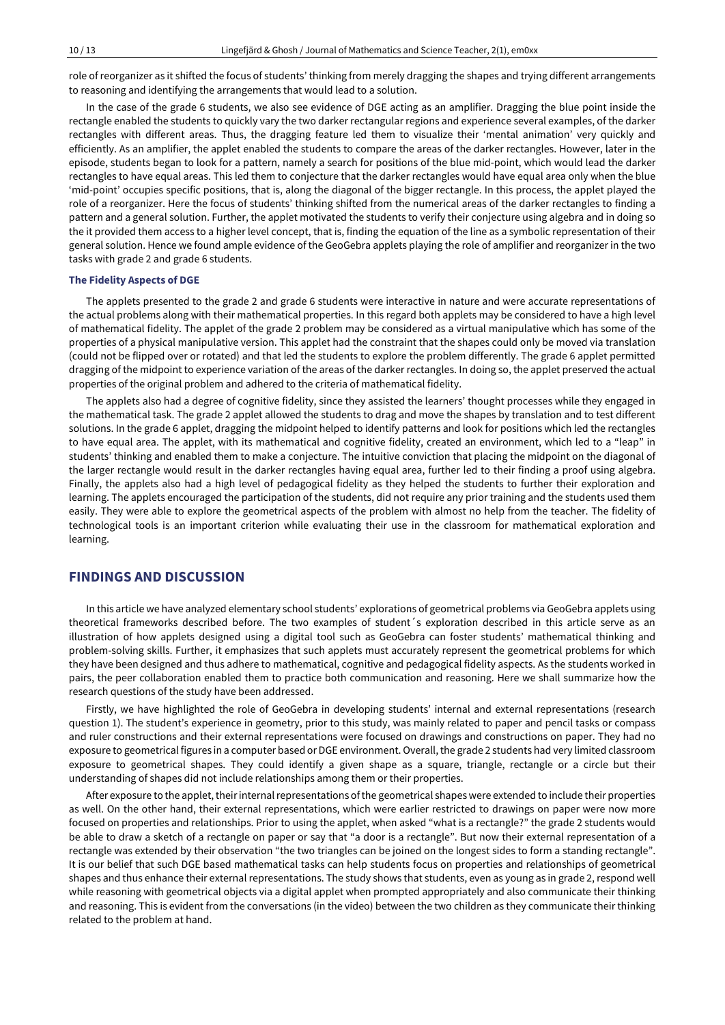role of reorganizer as it shifted the focus of students' thinking from merely dragging the shapes and trying different arrangements to reasoning and identifying the arrangements that would lead to a solution.

In the case of the grade 6 students, we also see evidence of DGE acting as an amplifier. Dragging the blue point inside the rectangle enabled the students to quickly vary the two darker rectangular regions and experience several examples, of the darker rectangles with different areas. Thus, the dragging feature led them to visualize their 'mental animation' very quickly and efficiently. As an amplifier, the applet enabled the students to compare the areas of the darker rectangles. However, later in the episode, students began to look for a pattern, namely a search for positions of the blue mid-point, which would lead the darker rectangles to have equal areas. This led them to conjecture that the darker rectangles would have equal area only when the blue 'mid-point' occupies specific positions, that is, along the diagonal of the bigger rectangle. In this process, the applet played the role of a reorganizer. Here the focus of students' thinking shifted from the numerical areas of the darker rectangles to finding a pattern and a general solution. Further, the applet motivated the students to verify their conjecture using algebra and in doing so the it provided them access to a higher level concept, that is, finding the equation of the line as a symbolic representation of their general solution. Hence we found ample evidence of the GeoGebra applets playing the role of amplifier and reorganizer in the two tasks with grade 2 and grade 6 students.

#### **The Fidelity Aspects of DGE**

The applets presented to the grade 2 and grade 6 students were interactive in nature and were accurate representations of the actual problems along with their mathematical properties. In this regard both applets may be considered to have a high level of mathematical fidelity. The applet of the grade 2 problem may be considered as a virtual manipulative which has some of the properties of a physical manipulative version. This applet had the constraint that the shapes could only be moved via translation (could not be flipped over or rotated) and that led the students to explore the problem differently. The grade 6 applet permitted dragging of the midpoint to experience variation of the areas of the darker rectangles. In doing so, the applet preserved the actual properties of the original problem and adhered to the criteria of mathematical fidelity.

The applets also had a degree of cognitive fidelity, since they assisted the learners' thought processes while they engaged in the mathematical task. The grade 2 applet allowed the students to drag and move the shapes by translation and to test different solutions. In the grade 6 applet, dragging the midpoint helped to identify patterns and look for positions which led the rectangles to have equal area. The applet, with its mathematical and cognitive fidelity, created an environment, which led to a "leap" in students' thinking and enabled them to make a conjecture. The intuitive conviction that placing the midpoint on the diagonal of the larger rectangle would result in the darker rectangles having equal area, further led to their finding a proof using algebra. Finally, the applets also had a high level of pedagogical fidelity as they helped the students to further their exploration and learning. The applets encouraged the participation of the students, did not require any prior training and the students used them easily. They were able to explore the geometrical aspects of the problem with almost no help from the teacher. The fidelity of technological tools is an important criterion while evaluating their use in the classroom for mathematical exploration and learning.

## **FINDINGS AND DISCUSSION**

In this article we have analyzed elementary school students' explorations of geometrical problems via GeoGebra applets using theoretical frameworks described before. The two examples of student´s exploration described in this article serve as an illustration of how applets designed using a digital tool such as GeoGebra can foster students' mathematical thinking and problem-solving skills. Further, it emphasizes that such applets must accurately represent the geometrical problems for which they have been designed and thus adhere to mathematical, cognitive and pedagogical fidelity aspects. As the students worked in pairs, the peer collaboration enabled them to practice both communication and reasoning. Here we shall summarize how the research questions of the study have been addressed.

Firstly, we have highlighted the role of GeoGebra in developing students' internal and external representations (research question 1). The student's experience in geometry, prior to this study, was mainly related to paper and pencil tasks or compass and ruler constructions and their external representations were focused on drawings and constructions on paper. They had no exposure to geometrical figures in a computer based or DGE environment. Overall, the grade 2 students had very limited classroom exposure to geometrical shapes. They could identify a given shape as a square, triangle, rectangle or a circle but their understanding of shapes did not include relationships among them or their properties.

After exposure to the applet, their internal representations of the geometrical shapes were extended to include their properties as well. On the other hand, their external representations, which were earlier restricted to drawings on paper were now more focused on properties and relationships. Prior to using the applet, when asked "what is a rectangle?" the grade 2 students would be able to draw a sketch of a rectangle on paper or say that "a door is a rectangle". But now their external representation of a rectangle was extended by their observation "the two triangles can be joined on the longest sides to form a standing rectangle". It is our belief that such DGE based mathematical tasks can help students focus on properties and relationships of geometrical shapes and thus enhance their external representations. The study shows that students, even as young as in grade 2, respond well while reasoning with geometrical objects via a digital applet when prompted appropriately and also communicate their thinking and reasoning. This is evident from the conversations (in the video) between the two children as they communicate their thinking related to the problem at hand.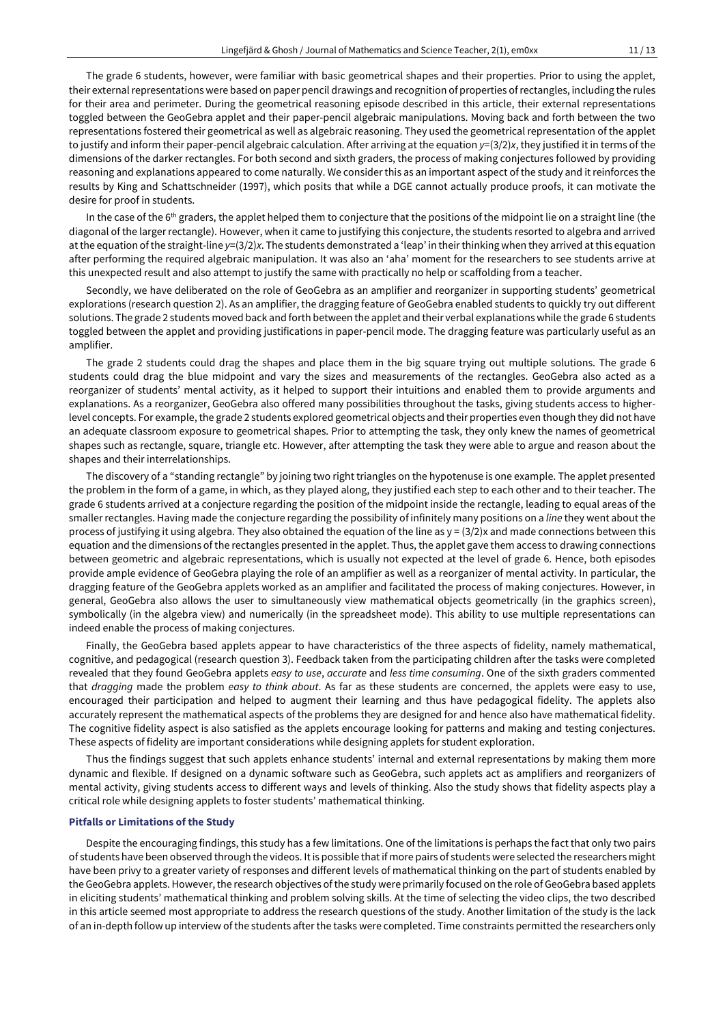The grade 6 students, however, were familiar with basic geometrical shapes and their properties. Prior to using the applet, their external representations were based on paper pencil drawings and recognition of properties of rectangles, including the rules for their area and perimeter. During the geometrical reasoning episode described in this article, their external representations toggled between the GeoGebra applet and their paper-pencil algebraic manipulations. Moving back and forth between the two representations fostered their geometrical as well as algebraic reasoning. They used the geometrical representation of the applet to justify and inform their paper-pencil algebraic calculation. After arriving at the equation *y*=(3/2)*x*, they justified it in terms of the dimensions of the darker rectangles. For both second and sixth graders, the process of making conjectures followed by providing reasoning and explanations appeared to come naturally. We consider this as an important aspect of the study and itreinforces the results by King and Schattschneider (1997), which posits that while a DGE cannot actually produce proofs, it can motivate the desire for proof in students.

In the case of the  $6<sup>th</sup>$  graders, the applet helped them to conjecture that the positions of the midpoint lie on a straight line (the diagonal of the largerrectangle). However, when it came to justifying this conjecture, the students resorted to algebra and arrived atthe equation ofthe straight-line *y*=(3/2)*x*. The students demonstrated a 'leap' in theirthinking when they arrived atthis equation after performing the required algebraic manipulation. It was also an 'aha' moment for the researchers to see students arrive at this unexpected result and also attempt to justify the same with practically no help or scaffolding from a teacher.

Secondly, we have deliberated on the role of GeoGebra as an amplifier and reorganizer in supporting students' geometrical explorations (research question 2). As an amplifier, the dragging feature of GeoGebra enabled students to quickly try out different solutions. The grade 2 students moved back and forth between the applet and their verbal explanations while the grade 6 students toggled between the applet and providing justifications in paper-pencil mode. The dragging feature was particularly useful as an amplifier.

The grade 2 students could drag the shapes and place them in the big square trying out multiple solutions. The grade 6 students could drag the blue midpoint and vary the sizes and measurements of the rectangles. GeoGebra also acted as a reorganizer of students' mental activity, as it helped to support their intuitions and enabled them to provide arguments and explanations. As a reorganizer, GeoGebra also offered many possibilities throughout the tasks, giving students access to higherlevel concepts. For example, the grade 2 students explored geometrical objects and their properties even though they did not have an adequate classroom exposure to geometrical shapes. Prior to attempting the task, they only knew the names of geometrical shapes such as rectangle, square, triangle etc. However, after attempting the task they were able to argue and reason about the shapes and their interrelationships.

The discovery of a "standing rectangle" by joining two right triangles on the hypotenuse is one example. The applet presented the problem in the form of a game, in which, as they played along, they justified each step to each other and to their teacher. The grade 6 students arrived at a conjecture regarding the position of the midpoint inside the rectangle, leading to equal areas of the smallerrectangles. Having made the conjecture regarding the possibility of infinitely many positions on a *line* they went about the process of justifying it using algebra. They also obtained the equation of the line as  $y = (3/2)x$  and made connections between this equation and the dimensions of the rectangles presented in the applet. Thus, the applet gave them access to drawing connections between geometric and algebraic representations, which is usually not expected at the level of grade 6. Hence, both episodes provide ample evidence of GeoGebra playing the role of an amplifier as well as a reorganizer of mental activity. In particular, the dragging feature of the GeoGebra applets worked as an amplifier and facilitated the process of making conjectures. However, in general, GeoGebra also allows the user to simultaneously view mathematical objects geometrically (in the graphics screen), symbolically (in the algebra view) and numerically (in the spreadsheet mode). This ability to use multiple representations can indeed enable the process of making conjectures.

Finally, the GeoGebra based applets appear to have characteristics of the three aspects of fidelity, namely mathematical, cognitive, and pedagogical (research question 3). Feedback taken from the participating children after the tasks were completed revealed that they found GeoGebra applets *easy to use*, *accurate* and *less time consuming*. One of the sixth graders commented that *dragging* made the problem *easy to think about*. As far as these students are concerned, the applets were easy to use, encouraged their participation and helped to augment their learning and thus have pedagogical fidelity. The applets also accurately represent the mathematical aspects of the problems they are designed for and hence also have mathematical fidelity. The cognitive fidelity aspect is also satisfied as the applets encourage looking for patterns and making and testing conjectures. These aspects of fidelity are important considerations while designing applets for student exploration.

Thus the findings suggest that such applets enhance students' internal and external representations by making them more dynamic and flexible. If designed on a dynamic software such as GeoGebra, such applets act as amplifiers and reorganizers of mental activity, giving students access to different ways and levels of thinking. Also the study shows that fidelity aspects play a critical role while designing applets to foster students' mathematical thinking.

#### **Pitfalls or Limitations of the Study**

Despite the encouraging findings, this study has a few limitations. One of the limitations is perhaps the fact that only two pairs of students have been observed through the videos. Itis possible thatif more pairs of students were selected the researchers might have been privy to a greater variety of responses and different levels of mathematical thinking on the part of students enabled by the GeoGebra applets. However, the research objectives of the study were primarily focused on the role of GeoGebra based applets in eliciting students' mathematical thinking and problem solving skills. At the time of selecting the video clips, the two described in this article seemed most appropriate to address the research questions of the study. Another limitation of the study is the lack of an in-depth follow up interview of the students afterthe tasks were completed. Time constraints permitted the researchers only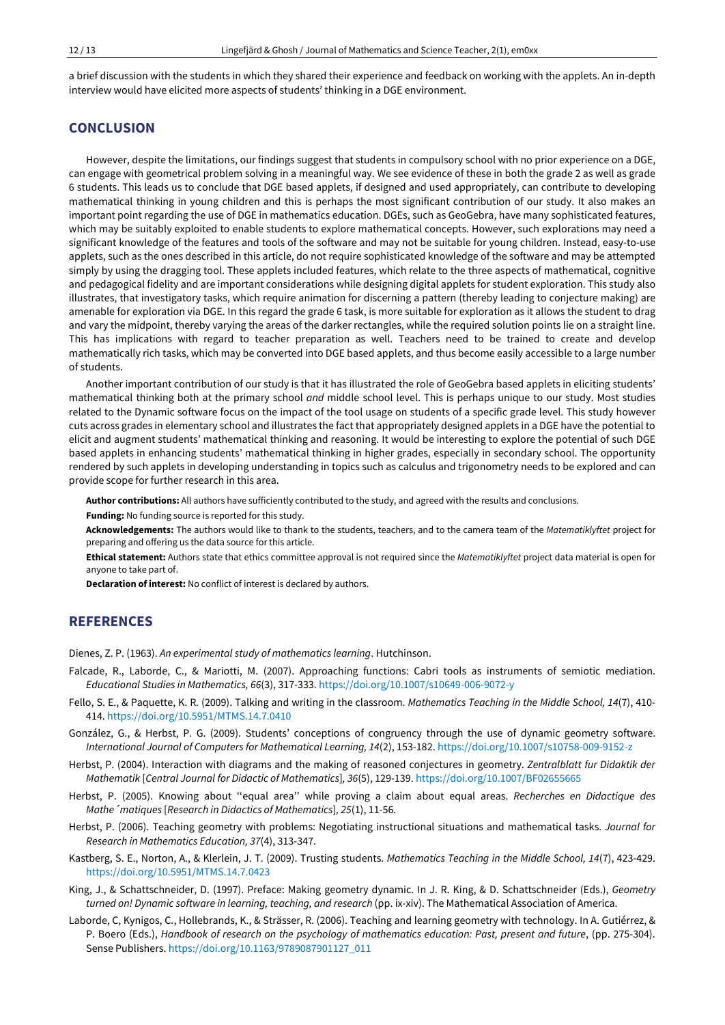a brief discussion with the students in which they shared their experience and feedback on working with the applets. An in-depth interview would have elicited more aspects of students' thinking in a DGE environment.

# **CONCLUSION**

However, despite the limitations, our findings suggest that students in compulsory school with no prior experience on a DGE, can engage with geometrical problem solving in a meaningful way. We see evidence of these in both the grade 2 as well as grade 6 students. This leads us to conclude that DGE based applets, if designed and used appropriately, can contribute to developing mathematical thinking in young children and this is perhaps the most significant contribution of our study. It also makes an important point regarding the use of DGE in mathematics education. DGEs, such as GeoGebra, have many sophisticated features, which may be suitably exploited to enable students to explore mathematical concepts. However, such explorations may need a significant knowledge of the features and tools of the software and may not be suitable for young children. Instead, easy-to-use applets, such as the ones described in this article, do not require sophisticated knowledge of the software and may be attempted simply by using the dragging tool. These applets included features, which relate to the three aspects of mathematical, cognitive and pedagogical fidelity and are important considerations while designing digital applets for student exploration. This study also illustrates, that investigatory tasks, which require animation for discerning a pattern (thereby leading to conjecture making) are amenable for exploration via DGE. In this regard the grade 6 task, is more suitable for exploration as it allows the student to drag and vary the midpoint, thereby varying the areas of the darker rectangles, while the required solution points lie on a straight line. This has implications with regard to teacher preparation as well. Teachers need to be trained to create and develop mathematically rich tasks, which may be converted into DGE based applets, and thus become easily accessible to a large number of students.

Another important contribution of our study is that it has illustrated the role of GeoGebra based applets in eliciting students' mathematical thinking both at the primary school *and* middle school level. This is perhaps unique to our study. Most studies related to the Dynamic software focus on the impact of the tool usage on students of a specific grade level. This study however cuts across grades in elementary school and illustrates the fact that appropriately designed applets in a DGE have the potential to elicit and augment students' mathematical thinking and reasoning. It would be interesting to explore the potential of such DGE based applets in enhancing students' mathematical thinking in higher grades, especially in secondary school. The opportunity rendered by such applets in developing understanding in topics such as calculus and trigonometry needs to be explored and can provide scope for further research in this area.

**Author contributions:** All authors have sufficiently contributed to the study, and agreed with the results and conclusions.

**Funding:** No funding source is reported for this study.

**Acknowledgements:** The authors would like to thank to the students, teachers, and to the camera team of the *Matematiklyftet* project for preparing and offering us the data source for this article.

**Ethical statement:** Authors state that ethics committee approval is not required since the *Matematiklyftet* project data material is open for anyone to take part of.

**Declaration of interest:** No conflict of interest is declared by authors.

# **REFERENCES**

Dienes, Z. P. (1963). *An experimental study of mathematics learning*. Hutchinson.

- Falcade, R., Laborde, C., & Mariotti, M. (2007). Approaching functions: Cabri tools as instruments of semiotic mediation. *Educational Studies in Mathematics, 66*(3), 317-333. <https://doi.org/10.1007/s10649-006-9072-y>
- Fello, S. E., & Paquette, K. R. (2009). Talking and writing in the classroom. *Mathematics Teaching in the Middle School, 14*(7), 410- 414. <https://doi.org/10.5951/MTMS.14.7.0410>
- González, G., & Herbst, P. G. (2009). Students' conceptions of congruency through the use of dynamic geometry software. *International Journal of Computers for Mathematical Learning, 14*(2), 153-182. <https://doi.org/10.1007/s10758-009-9152-z>
- Herbst, P. (2004). Interaction with diagrams and the making of reasoned conjectures in geometry. *Zentralblatt fur Didaktik der Mathematik* [*Central Journal for Didactic of Mathematics*]*, 36*(5), 129-139. <https://doi.org/10.1007/BF02655665>
- Herbst, P. (2005). Knowing about ''equal area'' while proving a claim about equal areas. *Recherches en Didactique des Mathe´matiques* [*Research in Didactics of Mathematics*]*, 25*(1), 11-56.
- Herbst, P. (2006). Teaching geometry with problems: Negotiating instructional situations and mathematical tasks. *Journal for Research in Mathematics Education, 37*(4), 313-347.
- Kastberg, S. E., Norton, A., & Klerlein, J. T. (2009). Trusting students. *Mathematics Teaching in the Middle School, 14*(7), 423-429. <https://doi.org/10.5951/MTMS.14.7.0423>
- King, J., & Schattschneider, D. (1997). Preface: Making geometry dynamic. In J. R. King, & D. Schattschneider (Eds.), *Geometry turned on! Dynamic software in learning, teaching, and research* (pp. ix-xiv). The Mathematical Association of America.
- Laborde, C, Kynigos, C., Hollebrands, K., & Strässer, R. (2006). Teaching and learning geometry with technology. In A. Gutiérrez, & P. Boero (Eds.), *Handbook of research on the psychology of mathematics education: Past, present and future*, (pp. 275-304). Sense Publishers. [https://doi.org/10.1163/9789087901127\\_011](https://doi.org/10.1163/9789087901127_011)